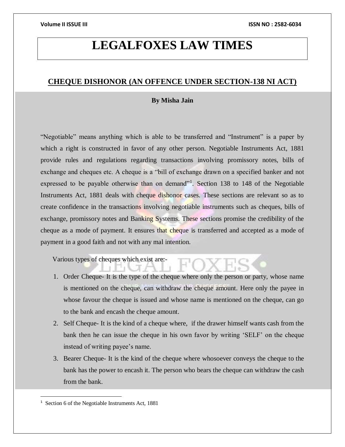# **LEGALFOXES LAW TIMES**

# **CHEQUE DISHONOR (AN OFFENCE UNDER SECTION-138 NI ACT)**

# **By Misha Jain**

"Negotiable" means anything which is able to be transferred and "Instrument" is a paper by which a right is constructed in favor of any other person. Negotiable Instruments Act, 1881 provide rules and regulations regarding transactions involving promissory notes, bills of exchange and cheques etc. A cheque is a "bill of exchange drawn on a specified banker and not expressed to be payable otherwise than on demand<sup>31</sup>. Section 138 to 148 of the Negotiable Instruments Act, 1881 deals with cheque dishonor cases. These sections are relevant so as to create confidence in the transactions involving negotiable instruments such as cheques, bills of exchange, promissory notes and Banking Systems. These sections promise the credibility of the cheque as a mode of payment. It ensures that cheque is transferred and accepted as a mode of payment in a good faith and not with any mal intention.

Various types of cheques which exist are:-

- 1. Order Cheque- It is the type of the cheque where only the person or party, whose name is mentioned on the cheque, can withdraw the cheque amount. Here only the payee in whose favour the cheque is issued and whose name is mentioned on the cheque, can go to the bank and encash the cheque amount.
- 2. Self Cheque- It is the kind of a cheque where, if the drawer himself wants cash from the bank then he can issue the cheque in his own favor by writing 'SELF' on the cheque instead of writing payee's name.
- 3. Bearer Cheque- It is the kind of the cheque where whosoever conveys the cheque to the bank has the power to encash it. The person who bears the cheque can withdraw the cash from the bank.

 $\overline{a}$ 

<sup>&</sup>lt;sup>1</sup> Section 6 of the Negotiable Instruments Act, 1881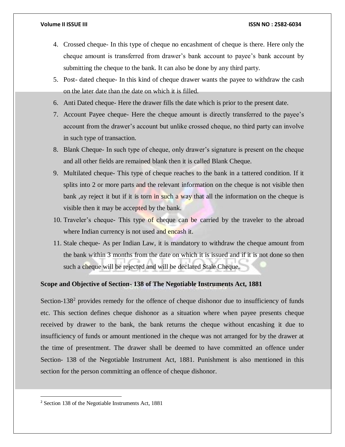- 4. Crossed cheque- In this type of cheque no encashment of cheque is there. Here only the cheque amount is transferred from drawer's bank account to payee's bank account by submitting the cheque to the bank. It can also be done by any third party.
- 5. Post- dated cheque- In this kind of cheque drawer wants the payee to withdraw the cash on the later date than the date on which it is filled.
- 6. Anti Dated cheque- Here the drawer fills the date which is prior to the present date.
- 7. Account Payee cheque- Here the cheque amount is directly transferred to the payee's account from the drawer's account but unlike crossed cheque, no third party can involve in such type of transaction.
- 8. Blank Cheque- In such type of cheque, only drawer's signature is present on the cheque and all other fields are remained blank then it is called Blank Cheque.
- 9. Multilated cheque- This type of cheque reaches to the bank in a tattered condition. If it splits into 2 or more parts and the relevant information on the cheque is not visible then bank ,ay reject it but if it is torn in such a way that all the information on the cheque is visible then it may be accepted by the bank.
- 10. Traveler's cheque- This type of cheque can be carried by the traveler to the abroad where Indian currency is not used and encash it.
- 11. Stale cheque- As per Indian Law, it is mandatory to withdraw the cheque amount from the bank within 3 months from the date on which it is issued and if it is not done so then such a cheque will be rejected and will be declared Stale Cheque.

# **Scope and Objective of Section- 138 of The Negotiable Instruments Act, 1881**

Section-138<sup>2</sup> provides remedy for the offence of cheque dishonor due to insufficiency of funds etc. This section defines cheque dishonor as a situation where when payee presents cheque received by drawer to the bank, the bank returns the cheque without encashing it due to insufficiency of funds or amount mentioned in the cheque was not arranged for by the drawer at the time of presentment. The drawer shall be deemed to have committed an offence under Section- 138 of the Negotiable Instrument Act, 1881. Punishment is also mentioned in this section for the person committing an offence of cheque dishonor.

 $\overline{a}$ 

<sup>2</sup> Section 138 of the Negotiable Instruments Act, 1881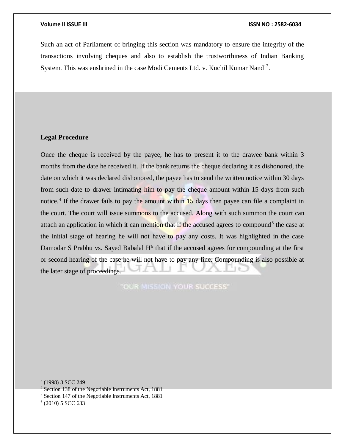### **Volume II ISSUE III ISSN NO : 2582-6034**

Such an act of Parliament of bringing this section was mandatory to ensure the integrity of the transactions involving cheques and also to establish the trustworthiness of Indian Banking System. This was enshrined in the case Modi Cements Ltd. v. Kuchil Kumar Nandi<sup>3</sup>.

# **Legal Procedure**

Once the cheque is received by the payee, he has to present it to the drawee bank within 3 months from the date he received it. If the bank returns the cheque declaring it as dishonored, the date on which it was declared dishonored, the payee has to send the written notice within 30 days from such date to drawer intimating him to pay the cheque amount within 15 days from such notice.<sup>4</sup> If the drawer fails to pay the amount within 15 days then payee can file a complaint in the court. The court will issue summons to the accused. Along with such summon the court can attach an application in which it can mention that if the accused agrees to compound<sup>5</sup> the case at the initial stage of hearing he will not have to pay any costs. It was highlighted in the case Damodar S Prabhu vs. Sayed Babalal  $H^6$  that if the accused agrees for compounding at the first or second hearing of the case he will not have to pay any fine. Compounding is also possible at the later stage of proceedings.

**"OUR MISSION YOUR SUCCESS"** 

<sup>5</sup> Section 147 of the Negotiable Instruments Act, 1881

<sup>&</sup>lt;sup>3</sup> (1998) 3 SCC 249

<sup>4</sup> Section 138 of the Negotiable Instruments Act, 1881

 $6(2010)$  5 SCC 633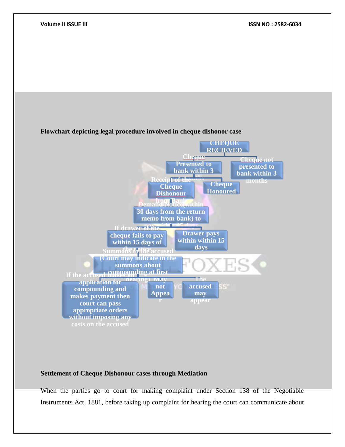

When the parties go to court for making complaint under Section 138 of the Negotiable Instruments Act, 1881, before taking up complaint for hearing the court can communicate about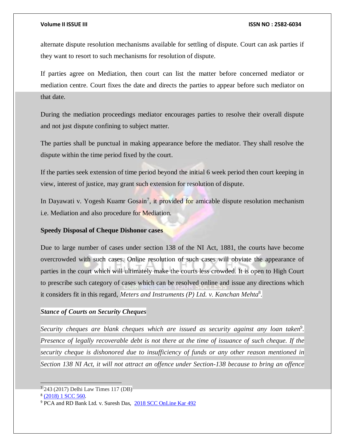### **Volume II ISSUE III ISSN NO : 2582-6034**

alternate dispute resolution mechanisms available for settling of dispute. Court can ask parties if they want to resort to such mechanisms for resolution of dispute.

If parties agree on Mediation, then court can list the matter before concerned mediator or mediation centre. Court fixes the date and directs the parties to appear before such mediator on that date.

During the mediation proceedings mediator encourages parties to resolve their overall dispute and not just dispute confining to subject matter.

The parties shall be punctual in making appearance before the mediator. They shall resolve the dispute within the time period fixed by the court.

If the parties seek extension of time period beyond the initial 6 week period then court keeping in view, interest of justice, may grant such extension for resolution of dispute.

In Dayawati v. Yogesh Kuamr Gosain<sup>7</sup>, it provided for amicable dispute resolution mechanism i.e. Mediation and also procedure for Mediation.

## **Speedy Disposal of Cheque Dishonor cases**

Due to large number of cases under section 138 of the NI Act, 1881, the courts have become overcrowded with such cases. Online resolution of such cases will obviate the appearance of parties in the court which will ultimately make the courts less crowded. It is open to High Court to prescribe such category of cases which can be resolved online and issue any directions which it considers fit in this regard, *Meters and Instruments (P) Ltd. v. Kanchan Mehta*<sup>8</sup> *.*

### *Stance of Courts on Security Cheques*

*Security cheques are blank cheques which are issued as security against any loan taken*<sup>9</sup> *. Presence of legally recoverable debt is not there at the time of issuance of such cheque. If the security cheque is dishonored due to insufficiency of funds or any other reason mentioned in Section 138 NI Act, it will not attract an offence under Section-138 because to bring an offence*

<sup>7</sup> 243 (2017) Delhi Law Times 117 (DB)

<sup>8</sup> [\(2018\)](http://scconline.com/DocumentLink/ZgG6hm4O) 1 SCC 560*.*

<sup>&</sup>lt;sup>9</sup> PCA and RD Bank Ltd. v. Suresh Das, 2018 SCC [OnLine](http://www.scconline.com/DocumentLink/6gd0fUPF) Kar 492